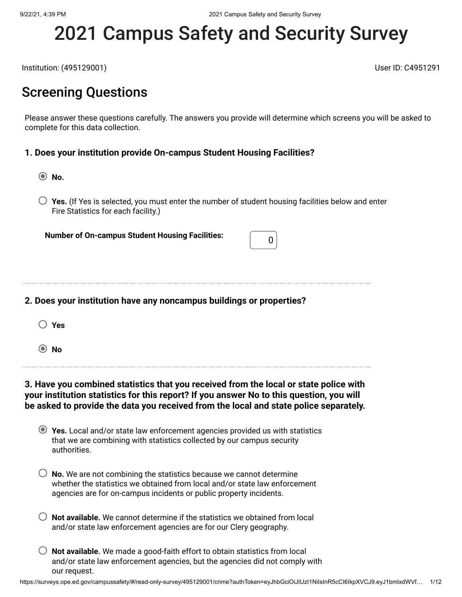# 2021 Campus Safety and Security Survey

Institution: (495129001) User ID: C4951291

### Screening Questions

Please answer these questions carefully. The answers you provide will determine which screens you will be asked to complete for this data collection.

#### **1. Does your institution provide On-campus Student Housing Facilities?**

**No.**

**Yes.** (If Yes is selected, you must enter the number of student housing facilities below and enter Fire Statistics for each facility.)

**Number of On-campus Student Housing Facilities:**  $\begin{bmatrix} 0 \end{bmatrix}$ 

#### **2. Does your institution have any noncampus buildings or properties?**

| × |
|---|
|---|

**No**

#### **3. Have you combined statistics that you received from the local or state police with your institution statistics for this report? If you answer No to this question, you will be asked to provide the data you received from the local and state police separately.**

| ◯ Yes. Local and/or state law enforcement agencies provided us with statistics |
|--------------------------------------------------------------------------------|
| that we are combining with statistics collected by our campus security         |
| authorities.                                                                   |

| $\bigcirc$ No. We are not combining the statistics because we cannot determine |
|--------------------------------------------------------------------------------|
| whether the statistics we obtained from local and/or state law enforcement     |
| agencies are for on-campus incidents or public property incidents.             |

- **Not available.** We cannot determine if the statistics we obtained from local and/or state law enforcement agencies are for our Clery geography.
- **Not available.** We made a good-faith effort to obtain statistics from local and/or state law enforcement agencies, but the agencies did not comply with our request.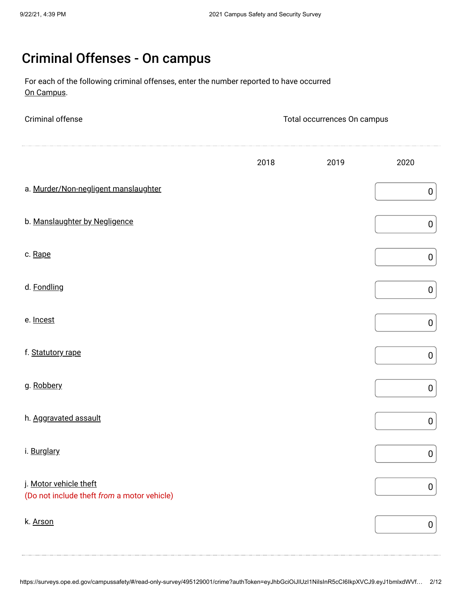# Criminal Offenses - On campus

For each of the following criminal offenses, enter the number reported to have occurred On Campus.

| Criminal offense                                                      | Total occurrences On campus |      |                  |  |
|-----------------------------------------------------------------------|-----------------------------|------|------------------|--|
|                                                                       | 2018                        | 2019 | 2020             |  |
| a. Murder/Non-negligent manslaughter                                  |                             |      | $\boldsymbol{0}$ |  |
| b. Manslaughter by Negligence                                         |                             |      | $\pmb{0}$        |  |
| c. Rape                                                               |                             |      | $\pmb{0}$        |  |
| d. Fondling                                                           |                             |      | $\pmb{0}$        |  |
| e. Incest                                                             |                             |      | $\pmb{0}$        |  |
| f. Statutory rape                                                     |                             |      | $\pmb{0}$        |  |
| g. Robbery                                                            |                             |      | $\pmb{0}$        |  |
| h. Aggravated assault                                                 |                             |      | $\boldsymbol{0}$ |  |
| i. Burglary                                                           |                             |      | $\boldsymbol{0}$ |  |
| j. Motor vehicle theft<br>(Do not include theft from a motor vehicle) |                             |      | $\pmb{0}$        |  |
| k. Arson                                                              |                             |      | $\pmb{0}$        |  |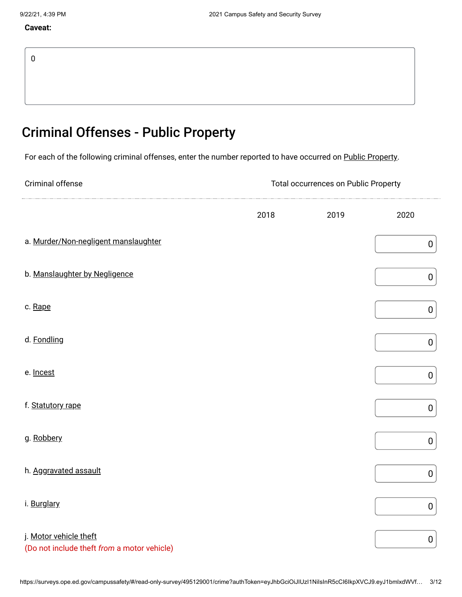#### **Caveat:**

# Criminal Offenses - Public Property

For each of the following criminal offenses, enter the number reported to have occurred on Public Property.

| Criminal offense                                                      | <b>Total occurrences on Public Property</b> |      |           |  |  |
|-----------------------------------------------------------------------|---------------------------------------------|------|-----------|--|--|
|                                                                       | 2018                                        | 2019 | 2020      |  |  |
| a. Murder/Non-negligent manslaughter                                  |                                             |      | $\pmb{0}$ |  |  |
| b. Manslaughter by Negligence                                         |                                             |      | $\pmb{0}$ |  |  |
| c. Rape                                                               |                                             |      | $\pmb{0}$ |  |  |
| d. Fondling                                                           |                                             |      | $\pmb{0}$ |  |  |
| e. Incest                                                             |                                             |      | $\pmb{0}$ |  |  |
| f. Statutory rape                                                     |                                             |      | $\pmb{0}$ |  |  |
| g. Robbery                                                            |                                             |      | $\pmb{0}$ |  |  |
| h. Aggravated assault                                                 |                                             |      | $\pmb{0}$ |  |  |
| i. Burglary                                                           |                                             |      | $\pmb{0}$ |  |  |
| j. Motor vehicle theft<br>(Do not include theft from a motor vehicle) |                                             |      | $\pmb{0}$ |  |  |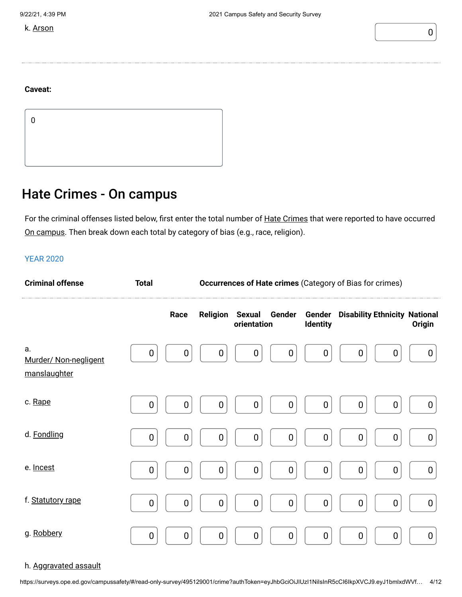k. Arson  $\begin{pmatrix} 0 & 0 \\ 0 & 0 \end{pmatrix}$ 



#### **Caveat:**

0

### Hate Crimes - On campus

For the criminal offenses listed below, first enter the total number of <u>Hate Crimes</u> that were reported to have occurred <u>On campus</u>. Then break down each total by category of bias (e.g., race, religion).

#### YEAR 2020

| <b>Criminal offense</b>                     | <b>Total</b>     | <b>Occurrences of Hate crimes (Category of Bias for crimes)</b> |                  |                              |                  |                    |                                      |                  |
|---------------------------------------------|------------------|-----------------------------------------------------------------|------------------|------------------------------|------------------|--------------------|--------------------------------------|------------------|
|                                             |                  | Race                                                            | <b>Religion</b>  | <b>Sexual</b><br>orientation | Gender           | Gender<br>Identity | <b>Disability Ethnicity National</b> | <b>Origin</b>    |
| а.<br>Murder/ Non-negligent<br>manslaughter | $\boldsymbol{0}$ | 0                                                               | 0                | $\boldsymbol{0}$             | 0                | $\mathbf 0$        | $\boldsymbol{0}$<br>$\boldsymbol{0}$ | $\boldsymbol{0}$ |
| c. Rape                                     | $\boldsymbol{0}$ | $\mathbf 0$                                                     | 0                | $\boldsymbol{0}$             | 0                | $\boldsymbol{0}$   | $\boldsymbol{0}$<br>$\mathbf 0$      | 0                |
| d. Fondling                                 | 0                | 0                                                               | 0                | $\boldsymbol{0}$             | $\boldsymbol{0}$ | $\mathbf 0$        | $\boldsymbol{0}$<br>$\mathbf 0$      | $\boldsymbol{0}$ |
| e. Incest                                   | $\boldsymbol{0}$ | 0                                                               | $\boldsymbol{0}$ | $\mathbf 0$                  | $\boldsymbol{0}$ | $\mathbf 0$        | $\mathbf 0$<br>$\boldsymbol{0}$      | $\boldsymbol{0}$ |
| f. Statutory rape                           | $\boldsymbol{0}$ | 0                                                               | 0                | $\boldsymbol{0}$             | $\mathbf 0$      | $\boldsymbol{0}$   | $\boldsymbol{0}$<br>$\boldsymbol{0}$ | $\boldsymbol{0}$ |
| g. Robbery                                  | $\boldsymbol{0}$ | $\mathbf 0$                                                     | $\pmb{0}$        | $\boldsymbol{0}$             | $\pmb{0}$        | $\boldsymbol{0}$   | $\boldsymbol{0}$<br>$\boldsymbol{0}$ | $\boldsymbol{0}$ |

#### h. Aggravated assault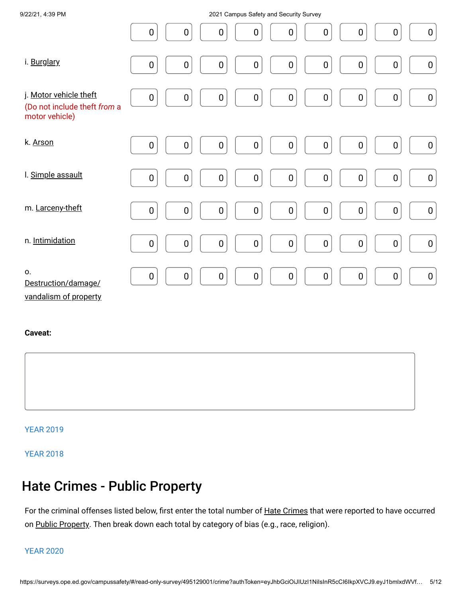| 9/22/21, 4:39 PM                                                         | 2021 Campus Safety and Security Survey                                                                                                      |
|--------------------------------------------------------------------------|---------------------------------------------------------------------------------------------------------------------------------------------|
|                                                                          | $\boldsymbol{0}$<br>$\boldsymbol{0}$<br>$\pmb{0}$<br>$\boldsymbol{0}$<br>$\boldsymbol{0}$<br>$\boldsymbol{0}$<br>0<br>$\boldsymbol{0}$<br>0 |
| i. Burglary                                                              | $\pmb{0}$<br>$\pmb{0}$<br>$\pmb{0}$<br>$\pmb{0}$<br>$\pmb{0}$<br>$\mathbf 0$<br>$\pmb{0}$<br>$\pmb{0}$<br>$\pmb{0}$                         |
| j. Motor vehicle theft<br>(Do not include theft from a<br>motor vehicle) | $\pmb{0}$<br>$\pmb{0}$<br>$\pmb{0}$<br>$\pmb{0}$<br>$\pmb{0}$<br>$\mathbf 0$<br>$\pmb{0}$<br>$\pmb{0}$<br>$\boldsymbol{0}$                  |
| k. Arson                                                                 | $\pmb{0}$<br>$\pmb{0}$<br>$\pmb{0}$<br>$\pmb{0}$<br>$\pmb{0}$<br>$\pmb{0}$<br>$\pmb{0}$<br>$\pmb{0}$<br>$\mathbf 0$                         |
| I. Simple assault                                                        | $\pmb{0}$<br>$\pmb{0}$<br>$\pmb{0}$<br>$\pmb{0}$<br>$\pmb{0}$<br>$\pmb{0}$<br>$\pmb{0}$<br>$\pmb{0}$<br>$\pmb{0}$                           |
| m. Larceny-theft                                                         | $\pmb{0}$<br>$\pmb{0}$<br>$\pmb{0}$<br>$\pmb{0}$<br>$\pmb{0}$<br>$\pmb{0}$<br>$\pmb{0}$<br>$\pmb{0}$<br>$\pmb{0}$                           |
| n. Intimidation                                                          | $\pmb{0}$<br>$\pmb{0}$<br>$\pmb{0}$<br>$\pmb{0}$<br>$\pmb{0}$<br>$\pmb{0}$<br>$\pmb{0}$<br>$\pmb{0}$<br>$\pmb{0}$                           |
| 0.<br>Destruction/damage/<br>vandalism of property                       | $\pmb{0}$<br>$\pmb{0}$<br>$\pmb{0}$<br>$\mathbf 0$<br>$\pmb{0}$<br>$\pmb{0}$<br>$\pmb{0}$<br>$\boldsymbol{0}$<br>$\pmb{0}$                  |

#### **Caveat:**



#### YEAR 2019

YEAR 2018

# Hate Crimes - Public Property

For the criminal offenses listed below, first enter the total number of <u>Hate Crimes</u> that were reported to have occurred on <u>Public Property</u>. Then break down each total by category of bias (e.g., race, religion).

#### YEAR 2020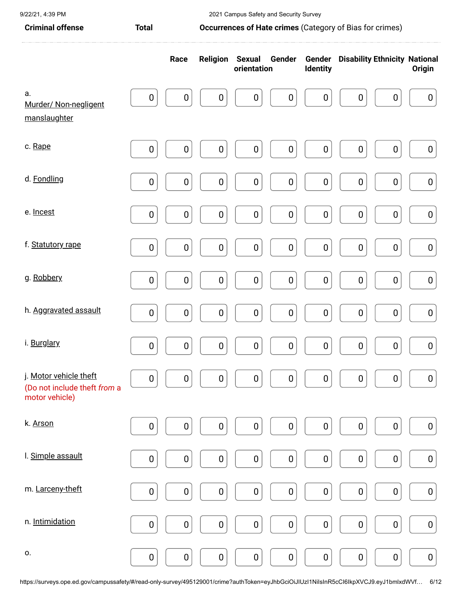| <b>Criminal offense</b><br>Occurrences of Hate crimes (Category of Bias for crimes)<br><b>Total</b> |                  |                  |                  |                              |                  |           |                                             |                  |                  |
|-----------------------------------------------------------------------------------------------------|------------------|------------------|------------------|------------------------------|------------------|-----------|---------------------------------------------|------------------|------------------|
|                                                                                                     |                  | Race             | <b>Religion</b>  | <b>Sexual</b><br>orientation | Gender           | Identity  | <b>Gender</b> Disability Ethnicity National |                  | <b>Origin</b>    |
| a.<br>Murder/ Non-negligent<br>manslaughter                                                         | $\boldsymbol{0}$ | $\boldsymbol{0}$ | 0                | $\pmb{0}$                    | $\pmb{0}$        | $\pmb{0}$ | $\boldsymbol{0}$                            | $\boldsymbol{0}$ | $\boldsymbol{0}$ |
| c. Rape                                                                                             | $\pmb{0}$        | $\mathbf 0$      | $\pmb{0}$        | $\pmb{0}$                    | $\pmb{0}$        | $\pmb{0}$ | $\pmb{0}$                                   | $\pmb{0}$        | $\mathbf 0$      |
| d. Fondling                                                                                         | $\pmb{0}$        | $\pmb{0}$        | 0                | $\pmb{0}$                    | 0                | $\pmb{0}$ | $\boldsymbol{0}$                            | $\pmb{0}$        | $\boldsymbol{0}$ |
| e. Incest                                                                                           | $\mathbf 0$      | $\pmb{0}$        | $\boldsymbol{0}$ | $\pmb{0}$                    | $\pmb{0}$        | $\pmb{0}$ | $\pmb{0}$                                   | $\pmb{0}$        | $\pmb{0}$        |
| f. Statutory rape                                                                                   | $\pmb{0}$        | $\pmb{0}$        | $\pmb{0}$        | $\pmb{0}$                    | $\pmb{0}$        | $\pmb{0}$ | $\pmb{0}$                                   | $\pmb{0}$        | $\boldsymbol{0}$ |
| g. Robbery                                                                                          | $\pmb{0}$        | $\pmb{0}$        | $\pmb{0}$        | $\pmb{0}$                    | $\pmb{0}$        | $\pmb{0}$ | $\pmb{0}$                                   | $\pmb{0}$        | $\boldsymbol{0}$ |
| h. Aggravated assault                                                                               | $\mathbf 0$      | $\mathbf 0$      | $\pmb{0}$        | $\pmb{0}$                    | $\pmb{0}$        | $\pmb{0}$ | $\pmb{0}$                                   | $\pmb{0}$        | $\pmb{0}$        |
| i. Burglary                                                                                         | $\mathbf 0$      | $\boldsymbol{0}$ | $\boldsymbol{0}$ | $\pmb{0}$                    | $\boldsymbol{0}$ | $\pmb{0}$ | $\pmb{0}$                                   | $\pmb{0}$        | $\pmb{0}$        |
| j. Motor vehicle theft<br>(Do not include theft from a<br>motor vehicle)                            | $\pmb{0}$        | $\pmb{0}$        | 0                | $\pmb{0}$                    | $\pmb{0}$        | $\pmb{0}$ | $\boldsymbol{0}$                            | $\pmb{0}$        | $\boldsymbol{0}$ |
| k. Arson                                                                                            | $\mathbf 0$      | $\pmb{0}$        | 0                | $\pmb{0}$                    | $\pmb{0}$        | $\pmb{0}$ | $\pmb{0}$                                   | $\pmb{0}$        | 0                |
| I. Simple assault                                                                                   | $\mathbf 0$      | $\pmb{0}$        | $\pmb{0}$        | $\pmb{0}$                    | $\pmb{0}$        | $\pmb{0}$ | $\pmb{0}$                                   | $\pmb{0}$        | $\pmb{0}$        |
| m. Larceny-theft                                                                                    | 0                | $\pmb{0}$        | $\pmb{0}$        | $\pmb{0}$                    | $\boldsymbol{0}$ | $\pmb{0}$ | $\pmb{0}$                                   | $\pmb{0}$        | $\boldsymbol{0}$ |
| n. Intimidation                                                                                     | $\pmb{0}$        | $\pmb{0}$        | $\pmb{0}$        | $\pmb{0}$                    | $\pmb{0}$        | $\pmb{0}$ | $\pmb{0}$                                   | $\pmb{0}$        | $\mathbf 0$      |
| 0.                                                                                                  | $\pmb{0}$        | $\boldsymbol{0}$ | $\pmb{0}$        | $\pmb{0}$                    | $\pmb{0}$        | $\pmb{0}$ | $\pmb{0}$                                   | $\pmb{0}$        | $\boldsymbol{0}$ |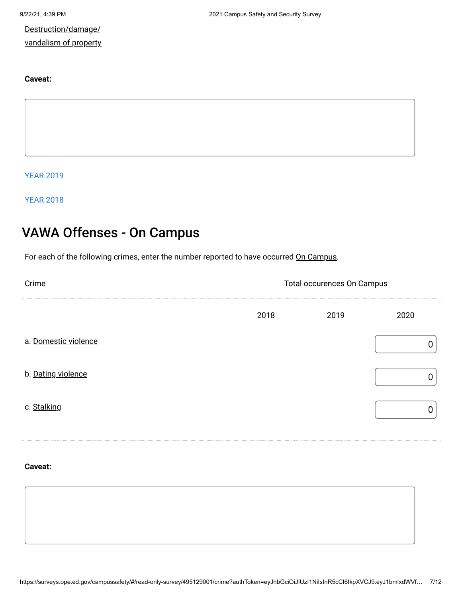Destruction/damage/ vandalism of property

#### **Caveat:**

YEAR 2019

YEAR 2018

# VAWA Offenses - On Campus

For each of the following crimes, enter the number reported to have occurred On Campus.

| Crime                | Total occurences On Campus |      |      |  |  |
|----------------------|----------------------------|------|------|--|--|
|                      | 2018                       | 2019 | 2020 |  |  |
| a. Domestic violence |                            |      |      |  |  |
| b. Dating violence   |                            |      |      |  |  |
| c. Stalking          |                            |      |      |  |  |

#### **Caveat:**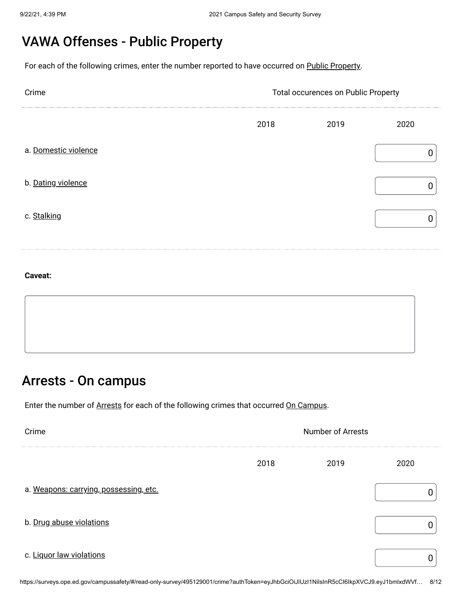# VAWA Offenses - Public Property

For each of the following crimes, enter the number reported to have occurred on Public Property.

| Crime                | Total occurences on Public Property |      |      |  |  |
|----------------------|-------------------------------------|------|------|--|--|
|                      | 2018                                | 2019 | 2020 |  |  |
| a. Domestic violence |                                     |      |      |  |  |
| b. Dating violence   |                                     |      |      |  |  |
| c. Stalking          |                                     |      |      |  |  |

#### **Caveat:**

### Arrests - On campus

Enter the number of Arrests for each of the following crimes that occurred On Campus.

| Crime                                  | <b>Number of Arrests</b> |      |      |
|----------------------------------------|--------------------------|------|------|
|                                        | 2018                     | 2019 | 2020 |
| a. Weapons: carrying, possessing, etc. |                          |      |      |
| b. Drug abuse violations               |                          |      |      |
| c. Liquor law violations               |                          |      |      |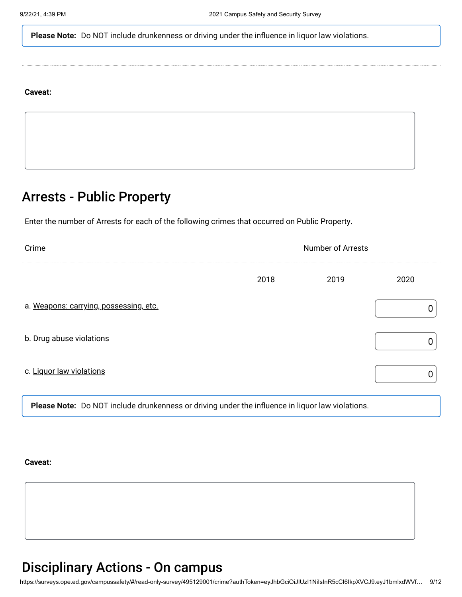**Please Note:** Do NOT include drunkenness or driving under the influence in liquor law violations.

#### **Caveat:**

# Arrests - Public Property

Enter the number of Arrests for each of the following crimes that occurred on Public Property.

| Crime                                                                                            | <b>Number of Arrests</b> |      |      |
|--------------------------------------------------------------------------------------------------|--------------------------|------|------|
|                                                                                                  | 2018                     | 2019 | 2020 |
| a. Weapons: carrying, possessing, etc.                                                           |                          |      |      |
| b. Drug abuse violations                                                                         |                          |      |      |
| c. Liquor law violations                                                                         |                          |      |      |
| Please Note: Do NOT include drunkenness or driving under the influence in liquor law violations. |                          |      |      |

**Caveat:**

### Disciplinary Actions - On campus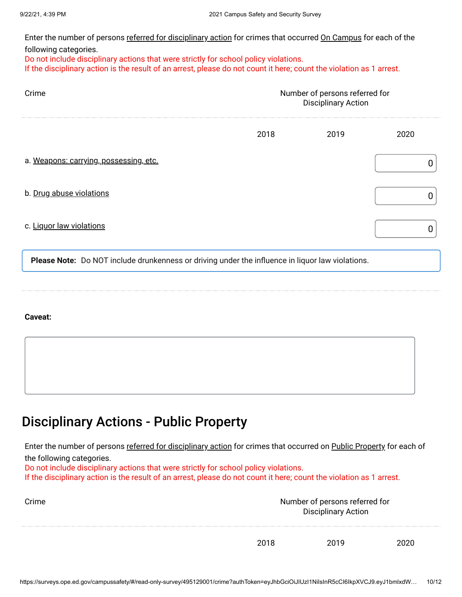Enter the number of persons <u>referred for disciplinary action</u> for crimes that occurred <u>On Campus</u> for each of the following categories.

Do not include disciplinary actions that were strictly for school policy violations. If the disciplinary action is the result of an arrest, please do not count it here; count the violation as 1 arrest.

| Crime                                                                                            | Number of persons referred for<br><b>Disciplinary Action</b> |      |      |
|--------------------------------------------------------------------------------------------------|--------------------------------------------------------------|------|------|
|                                                                                                  | 2018                                                         | 2019 | 2020 |
| a. Weapons: carrying, possessing, etc.                                                           |                                                              |      |      |
| b. Drug abuse violations                                                                         |                                                              |      |      |
| c. Liquor law violations                                                                         |                                                              |      |      |
| Please Note: Do NOT include drunkenness or driving under the influence in liquor law violations. |                                                              |      |      |

#### **Caveat:**

### Disciplinary Actions - Public Property

Enter the number of persons <u>referred for disciplinary action</u> for crimes that occurred on <u>Public Property</u> for each of the following categories. Do not include disciplinary actions that were strictly for school policy violations.

If the disciplinary action is the result of an arrest, please do not count it here; count the violation as 1 arrest.

| Crime | Number of persons referred for | <b>Disciplinary Action</b> |      |
|-------|--------------------------------|----------------------------|------|
|       | 2018                           | 2019                       | 2020 |